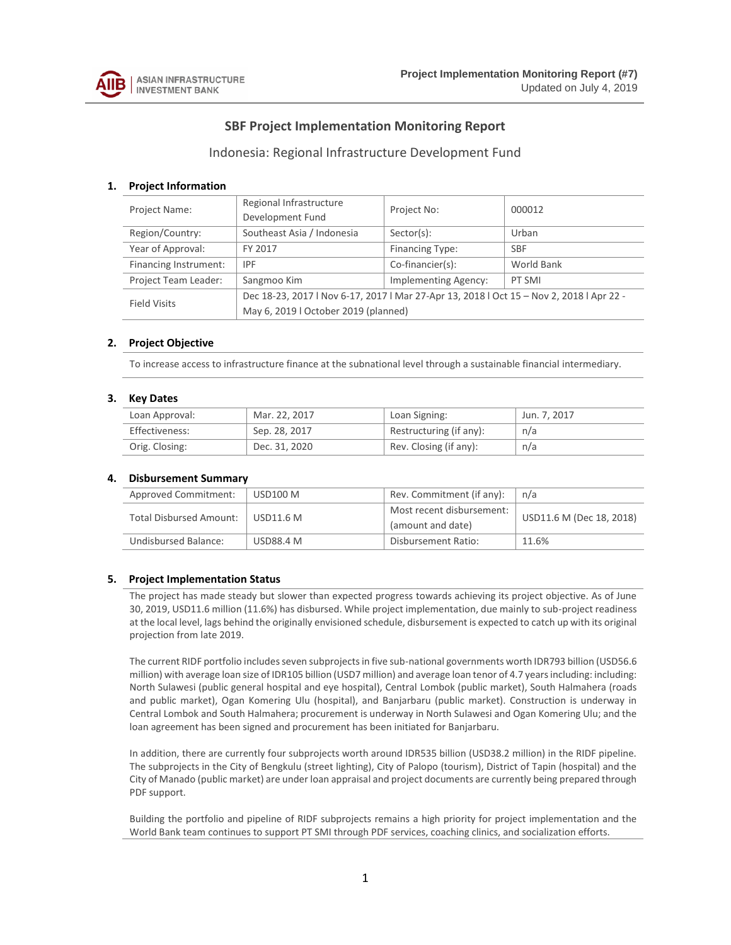

# **SBF Project Implementation Monitoring Report**

## Indonesia: Regional Infrastructure Development Fund

#### **1. Project Information**

| <b>Project Name:</b>  | Regional Infrastructure<br>Development Fund                                              | Project No:                 | 000012     |  |  |  |
|-----------------------|------------------------------------------------------------------------------------------|-----------------------------|------------|--|--|--|
| Region/Country:       | Southeast Asia / Indonesia                                                               | Sector(s):                  | Urban      |  |  |  |
| Year of Approval:     | FY 2017                                                                                  | Financing Type:             | <b>SBF</b> |  |  |  |
| Financing Instrument: | <b>IPF</b>                                                                               | Co-financier(s):            | World Bank |  |  |  |
| Project Team Leader:  | Sangmoo Kim                                                                              | <b>Implementing Agency:</b> | PT SMI     |  |  |  |
| <b>Field Visits</b>   | Dec 18-23, 2017   Nov 6-17, 2017   Mar 27-Apr 13, 2018   Oct 15 - Nov 2, 2018   Apr 22 - |                             |            |  |  |  |
|                       | May 6, 2019   October 2019 (planned)                                                     |                             |            |  |  |  |

#### **2. Project Objective**

To increase access to infrastructure finance at the subnational level through a sustainable financial intermediary.

#### **3. Key Dates**

| Loan Approval: | Mar. 22, 2017 | Loan Signing:           | Jun. 7, 2017 |
|----------------|---------------|-------------------------|--------------|
| Effectiveness: | Sep. 28, 2017 | Restructuring (if any): | n/a          |
| Orig. Closing: | Dec. 31, 2020 | Rev. Closing (if any):  | n/a          |

#### **4. Disbursement Summary**

| Approved Commitment:           | <b>USD100 M</b>  | Rev. Commitment (if any):                      | n/a                      |  |  |
|--------------------------------|------------------|------------------------------------------------|--------------------------|--|--|
| <b>Total Disbursed Amount:</b> | <b>USD11.6 M</b> | Most recent disbursement:<br>(amount and date) | USD11.6 M (Dec 18, 2018) |  |  |
| <b>Undisbursed Balance:</b>    | USD88.4 M        | Disbursement Ratio:                            | 11.6%                    |  |  |

#### **5. Project Implementation Status**

The project has made steady but slower than expected progress towards achieving its project objective. As of June 30, 2019, USD11.6 million (11.6%) has disbursed. While project implementation, due mainly to sub-project readiness at the local level, lags behind the originally envisioned schedule, disbursement is expected to catch up with its original projection from late 2019.

The current RIDF portfolio includes seven subprojects in five sub-national governments worth IDR793 billion (USD56.6 million) with average loan size of IDR105 billion (USD7 million) and average loan tenor of 4.7 years including: including: North Sulawesi (public general hospital and eye hospital), Central Lombok (public market), South Halmahera (roads and public market), Ogan Komering Ulu (hospital), and Banjarbaru (public market). Construction is underway in Central Lombok and South Halmahera; procurement is underway in North Sulawesi and Ogan Komering Ulu; and the loan agreement has been signed and procurement has been initiated for Banjarbaru.

In addition, there are currently four subprojects worth around IDR535 billion (USD38.2 million) in the RIDF pipeline. The subprojects in the City of Bengkulu (street lighting), City of Palopo (tourism), District of Tapin (hospital) and the City of Manado (public market) are under loan appraisal and project documents are currently being prepared through PDF support.

Building the portfolio and pipeline of RIDF subprojects remains a high priority for project implementation and the World Bank team continues to support PT SMI through PDF services, coaching clinics, and socialization efforts.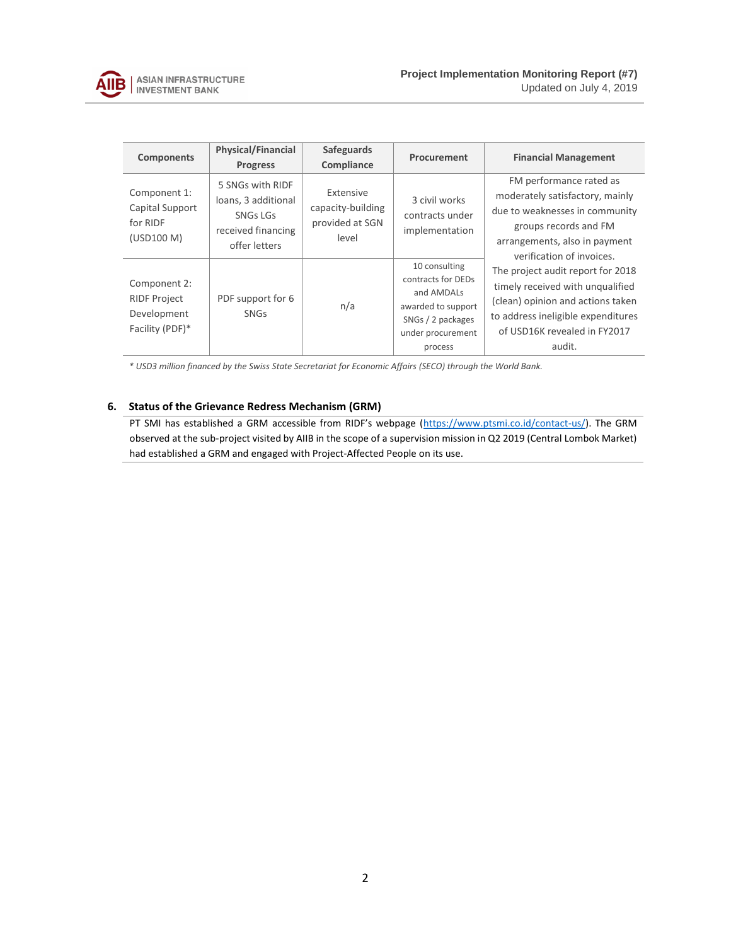

| <b>Components</b>                                                     | <b>Physical/Financial</b><br><b>Progress</b>                                                      | <b>Safeguards</b><br>Compliance                            | Procurement                                                                                                                  | <b>Financial Management</b>                                                                                                                                                                |  |  |
|-----------------------------------------------------------------------|---------------------------------------------------------------------------------------------------|------------------------------------------------------------|------------------------------------------------------------------------------------------------------------------------------|--------------------------------------------------------------------------------------------------------------------------------------------------------------------------------------------|--|--|
| Component 1:<br>Capital Support<br>for RIDF<br>(USD100 M)             | 5 SNGs with RIDF<br>loans, 3 additional<br><b>SNGs LGs</b><br>received financing<br>offer letters | Extensive<br>capacity-building<br>provided at SGN<br>level | 3 civil works<br>contracts under<br>implementation                                                                           | FM performance rated as<br>moderately satisfactory, mainly<br>due to weaknesses in community<br>groups records and FM<br>arrangements, also in payment<br>verification of invoices.        |  |  |
| Component 2:<br><b>RIDF Project</b><br>Development<br>Facility (PDF)* | PDF support for 6<br><b>SNGs</b>                                                                  | n/a                                                        | 10 consulting<br>contracts for DEDs<br>and AMDALs<br>awarded to support<br>SNGs / 2 packages<br>under procurement<br>process | The project audit report for 2018<br>timely received with unqualified<br>(clean) opinion and actions taken<br>to address ineligible expenditures<br>of USD16K revealed in FY2017<br>audit. |  |  |

*\* USD3 million financed by the Swiss State Secretariat for Economic Affairs (SECO) through the World Bank.* 

### **6. Status of the Grievance Redress Mechanism (GRM)**

PT SMI has established a GRM accessible from RIDF's webpage ([https://www.ptsmi.co.id/contact-us/\)](https://www.ptsmi.co.id/contact-us/). The GRM observed at the sub-project visited by AIIB in the scope of a supervision mission in Q2 2019 (Central Lombok Market) had established a GRM and engaged with Project-Affected People on its use.